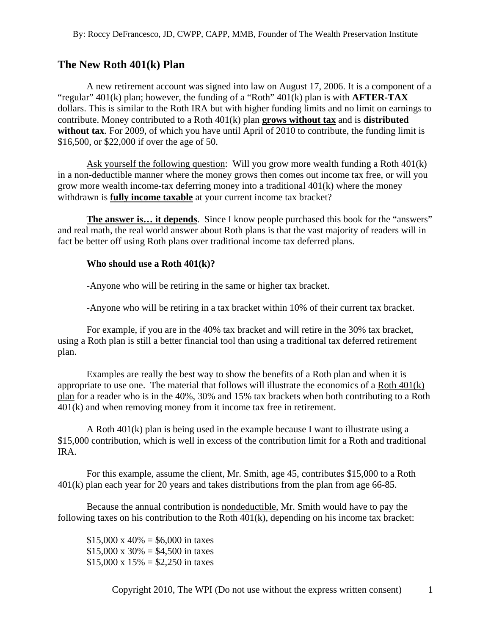## **The New Roth 401(k) Plan**

A new retirement account was signed into law on August 17, 2006. It is a component of a "regular" 401(k) plan; however, the funding of a "Roth" 401(k) plan is with **AFTER-TAX** dollars. This is similar to the Roth IRA but with higher funding limits and no limit on earnings to contribute. Money contributed to a Roth 401(k) plan **grows without tax** and is **distributed without tax**. For 2009, of which you have until April of 2010 to contribute, the funding limit is \$16,500, or \$22,000 if over the age of 50.

Ask yourself the following question: Will you grow more wealth funding a Roth 401(k) in a non-deductible manner where the money grows then comes out income tax free, or will you grow more wealth income-tax deferring money into a traditional 401(k) where the money withdrawn is **fully income taxable** at your current income tax bracket?

**The answer is… it depends**. Since I know people purchased this book for the "answers" and real math, the real world answer about Roth plans is that the vast majority of readers will in fact be better off using Roth plans over traditional income tax deferred plans.

## **Who should use a Roth 401(k)?**

-Anyone who will be retiring in the same or higher tax bracket.

-Anyone who will be retiring in a tax bracket within 10% of their current tax bracket.

For example, if you are in the 40% tax bracket and will retire in the 30% tax bracket, using a Roth plan is still a better financial tool than using a traditional tax deferred retirement plan.

Examples are really the best way to show the benefits of a Roth plan and when it is appropriate to use one. The material that follows will illustrate the economics of a Roth 401(k) plan for a reader who is in the 40%, 30% and 15% tax brackets when both contributing to a Roth 401(k) and when removing money from it income tax free in retirement.

A Roth 401(k) plan is being used in the example because I want to illustrate using a \$15,000 contribution, which is well in excess of the contribution limit for a Roth and traditional IRA.

For this example, assume the client, Mr. Smith, age 45, contributes \$15,000 to a Roth 401(k) plan each year for 20 years and takes distributions from the plan from age 66-85.

Because the annual contribution is nondeductible, Mr. Smith would have to pay the following taxes on his contribution to the Roth 401(k), depending on his income tax bracket:

 $$15,000 \times 40\% = $6,000$  in taxes  $$15,000 \times 30\% = $4,500$  in taxes  $$15,000 \times 15\% = $2,250$  in taxes

Copyright 2010, The WPI (Do not use without the express written consent) 1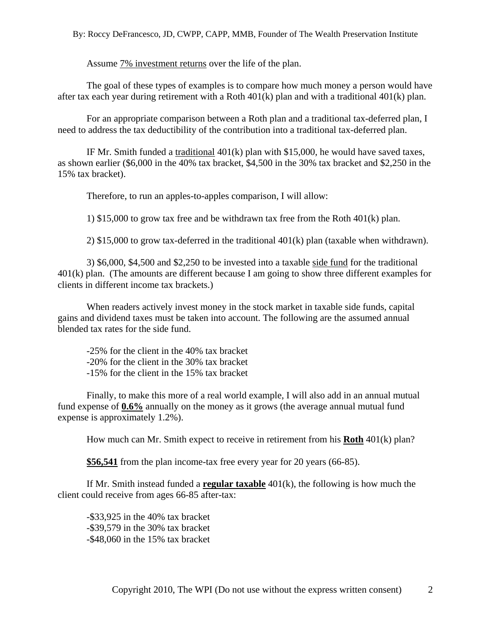By: Roccy DeFrancesco, JD, CWPP, CAPP, MMB, Founder of The Wealth Preservation Institute

Assume 7% investment returns over the life of the plan.

The goal of these types of examples is to compare how much money a person would have after tax each year during retirement with a Roth 401(k) plan and with a traditional 401(k) plan.

For an appropriate comparison between a Roth plan and a traditional tax-deferred plan, I need to address the tax deductibility of the contribution into a traditional tax-deferred plan.

IF Mr. Smith funded a traditional 401(k) plan with \$15,000, he would have saved taxes, as shown earlier (\$6,000 in the 40% tax bracket, \$4,500 in the 30% tax bracket and \$2,250 in the 15% tax bracket).

Therefore, to run an apples-to-apples comparison, I will allow:

1) \$15,000 to grow tax free and be withdrawn tax free from the Roth 401(k) plan.

2) \$15,000 to grow tax-deferred in the traditional 401(k) plan (taxable when withdrawn).

3) \$6,000, \$4,500 and \$2,250 to be invested into a taxable side fund for the traditional 401(k) plan. (The amounts are different because I am going to show three different examples for clients in different income tax brackets.)

When readers actively invest money in the stock market in taxable side funds, capital gains and dividend taxes must be taken into account. The following are the assumed annual blended tax rates for the side fund.

-25% for the client in the 40% tax bracket -20% for the client in the 30% tax bracket -15% for the client in the 15% tax bracket

Finally, to make this more of a real world example, I will also add in an annual mutual fund expense of **0.6%** annually on the money as it grows (the average annual mutual fund expense is approximately 1.2%).

How much can Mr. Smith expect to receive in retirement from his **Roth** 401(k) plan?

**\$56,541** from the plan income-tax free every year for 20 years (66-85).

If Mr. Smith instead funded a **regular taxable** 401(k), the following is how much the client could receive from ages 66-85 after-tax:

-\$33,925 in the 40% tax bracket -\$39,579 in the 30% tax bracket -\$48,060 in the 15% tax bracket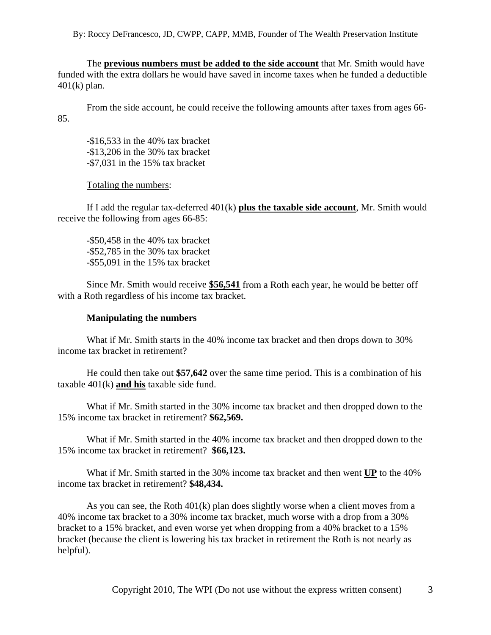By: Roccy DeFrancesco, JD, CWPP, CAPP, MMB, Founder of The Wealth Preservation Institute

The **previous numbers must be added to the side account** that Mr. Smith would have funded with the extra dollars he would have saved in income taxes when he funded a deductible 401(k) plan.

From the side account, he could receive the following amounts after taxes from ages 66- 85.

-\$16,533 in the 40% tax bracket -\$13,206 in the 30% tax bracket -\$7,031 in the 15% tax bracket

Totaling the numbers:

If I add the regular tax-deferred 401(k) **plus the taxable side account**, Mr. Smith would receive the following from ages 66-85:

-\$50,458 in the 40% tax bracket -\$52,785 in the 30% tax bracket -\$55,091 in the 15% tax bracket

Since Mr. Smith would receive **\$56,541** from a Roth each year, he would be better off with a Roth regardless of his income tax bracket.

## **Manipulating the numbers**

What if Mr. Smith starts in the 40% income tax bracket and then drops down to 30% income tax bracket in retirement?

He could then take out **\$57,642** over the same time period. This is a combination of his taxable 401(k) **and his** taxable side fund.

What if Mr. Smith started in the 30% income tax bracket and then dropped down to the 15% income tax bracket in retirement? **\$62,569.**

What if Mr. Smith started in the 40% income tax bracket and then dropped down to the 15% income tax bracket in retirement? **\$66,123.** 

What if Mr. Smith started in the 30% income tax bracket and then went **UP** to the 40% income tax bracket in retirement? **\$48,434.**

As you can see, the Roth  $401(k)$  plan does slightly worse when a client moves from a 40% income tax bracket to a 30% income tax bracket, much worse with a drop from a 30% bracket to a 15% bracket, and even worse yet when dropping from a 40% bracket to a 15% bracket (because the client is lowering his tax bracket in retirement the Roth is not nearly as helpful).